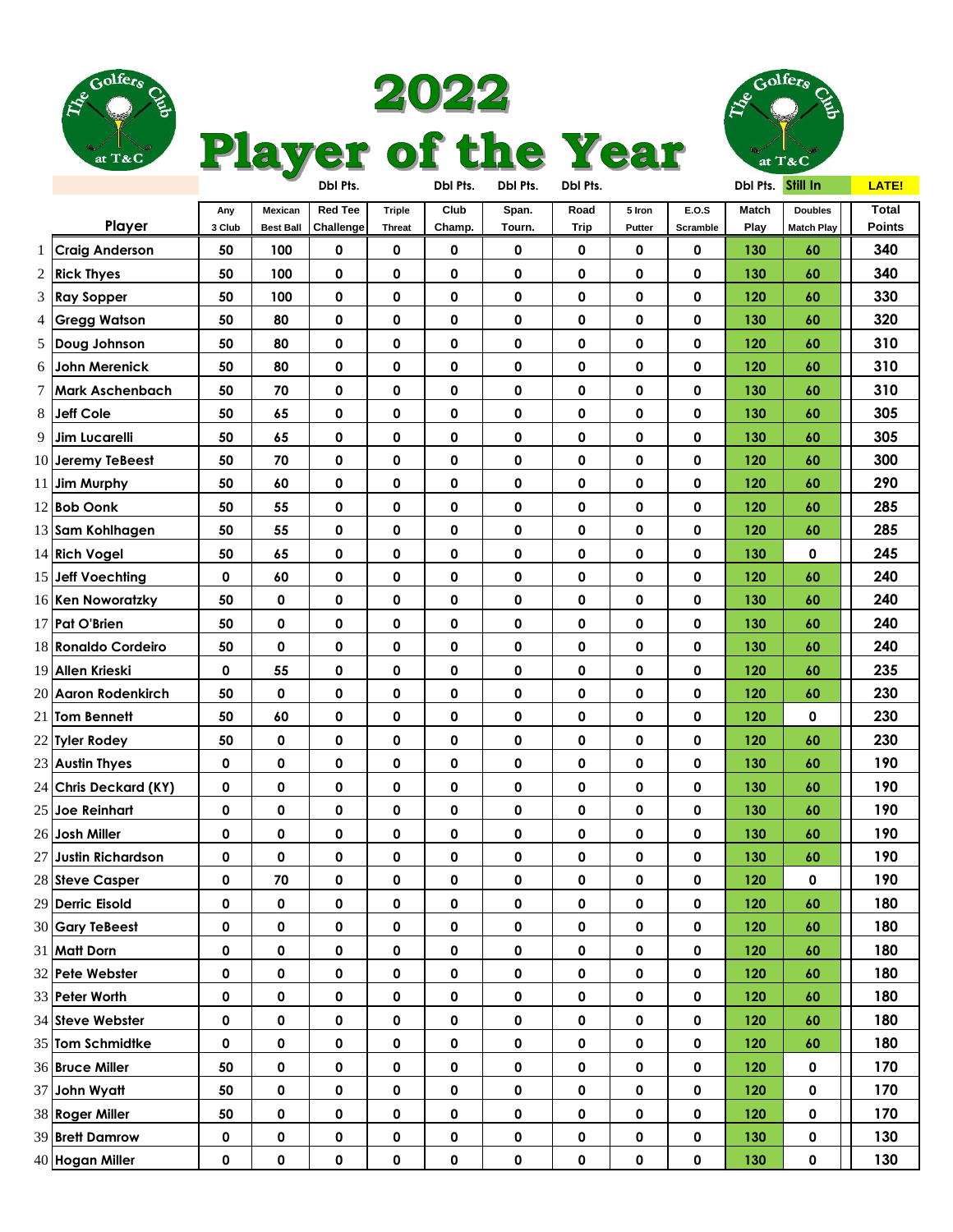